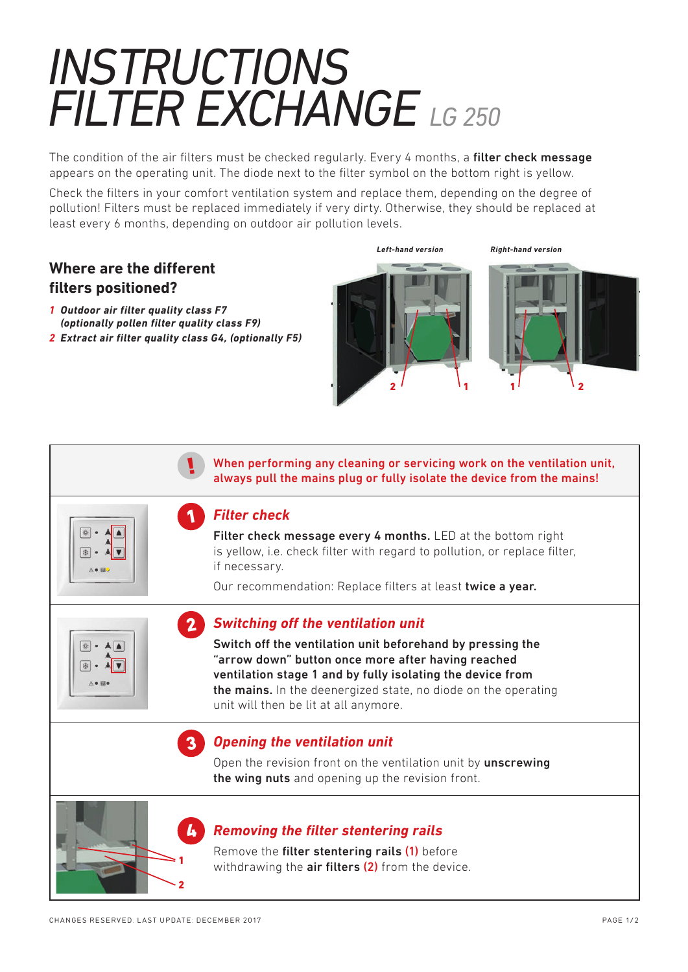## *INSTRUCTIONS FILTER EXCHANGE LG 250*

The condition of the air filters must be checked regularly. Every 4 months, a filter check message appears on the operating unit. The diode next to the filter symbol on the bottom right is yellow.

Check the filters in your comfort ventilation system and replace them, depending on the degree of pollution! Filters must be replaced immediately if very dirty. Otherwise, they should be replaced at least every 6 months, depending on outdoor air pollution levels.

## **Where are the different filters positioned?**

- *1 Outdoor air filter quality class F7 (optionally pollen filter quality class F9)*
- *2 Extract air filter quality class G4, (optionally F5)*